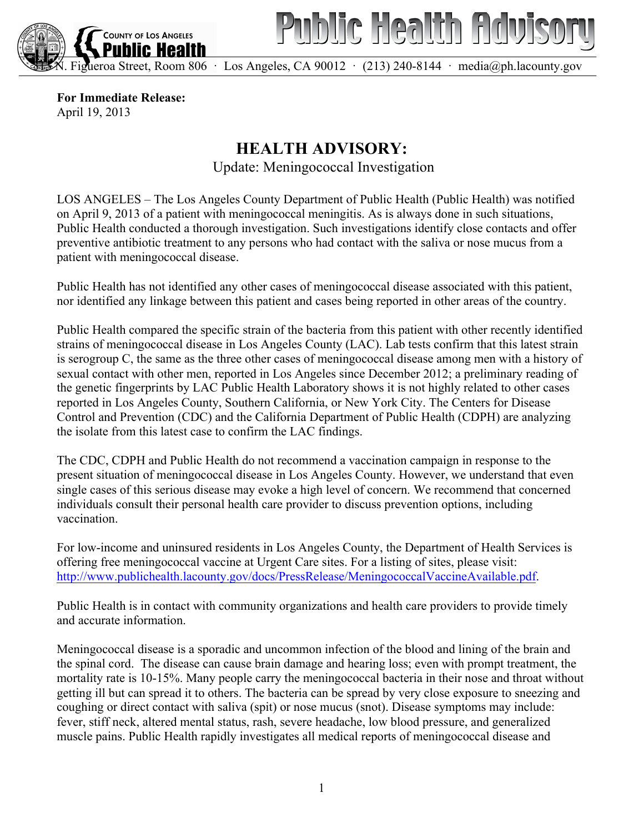



Figueroa Street, Room 806 · Los Angeles, CA 90012 · (213) 240-8144 · media@ph.lacounty.gov

**For Immediate Release:** April 19, 2013

## **HEALTH ADVISORY:**

Update: Meningococcal Investigation

LOS ANGELES – The Los Angeles County Department of Public Health (Public Health) was notified on April 9, 2013 of a patient with meningococcal meningitis. As is always done in such situations, Public Health conducted a thorough investigation. Such investigations identify close contacts and offer preventive antibiotic treatment to any persons who had contact with the saliva or nose mucus from a patient with meningococcal disease.

Public Health has not identified any other cases of meningococcal disease associated with this patient, nor identified any linkage between this patient and cases being reported in other areas of the country.

Public Health compared the specific strain of the bacteria from this patient with other recently identified strains of meningococcal disease in Los Angeles County (LAC). Lab tests confirm that this latest strain is serogroup C, the same as the three other cases of meningococcal disease among men with a history of sexual contact with other men, reported in Los Angeles since December 2012; a preliminary reading of the genetic fingerprints by LAC Public Health Laboratory shows it is not highly related to other cases reported in Los Angeles County, Southern California, or New York City. The Centers for Disease Control and Prevention (CDC) and the California Department of Public Health (CDPH) are analyzing the isolate from this latest case to confirm the LAC findings.

The CDC, CDPH and Public Health do not recommend a vaccination campaign in response to the present situation of meningococcal disease in Los Angeles County. However, we understand that even single cases of this serious disease may evoke a high level of concern. We recommend that concerned individuals consult their personal health care provider to discuss prevention options, including vaccination.

For low-income and uninsured residents in Los Angeles County, the Department of Health Services is offering free meningococcal vaccine at Urgent Care sites. For a listing of sites, please visit: http://www.publichealth.lacounty.gov/docs/PressRelease/MeningococcalVaccineAvailable.pdf.

Public Health is in contact with community organizations and health care providers to provide timely and accurate information.

Meningococcal disease is a sporadic and uncommon infection of the blood and lining of the brain and the spinal cord. The disease can cause brain damage and hearing loss; even with prompt treatment, the mortality rate is 10-15%. Many people carry the meningococcal bacteria in their nose and throat without getting ill but can spread it to others. The bacteria can be spread by very close exposure to sneezing and coughing or direct contact with saliva (spit) or nose mucus (snot). Disease symptoms may include: fever, stiff neck, altered mental status, rash, severe headache, low blood pressure, and generalized muscle pains. Public Health rapidly investigates all medical reports of meningococcal disease and